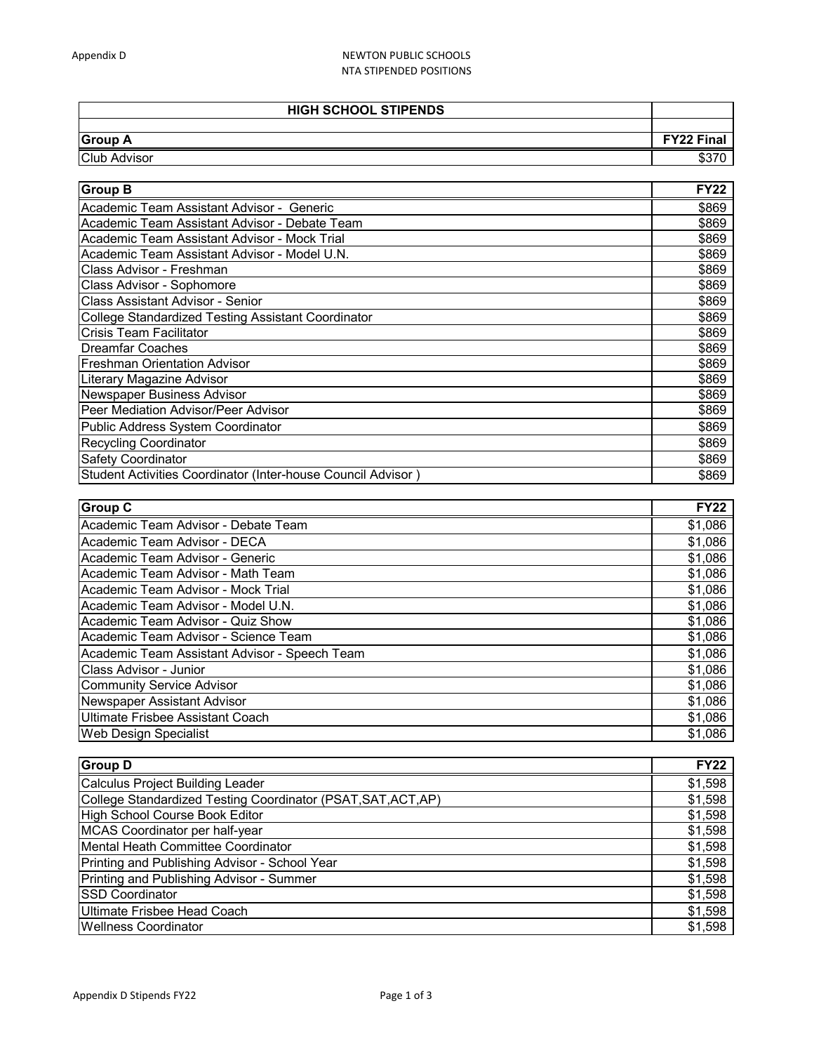## Appendix D NEWTON PUBLIC SCHOOLS NTA STIPENDED POSITIONS

| <b>HIGH SCHOOL STIPENDS</b> |                   |
|-----------------------------|-------------------|
|                             |                   |
| <b>Group A</b>              | <b>FY22 Final</b> |
| <b>Club Advisor</b>         |                   |

| <b>Group B</b>                                               | <b>FY22</b> |
|--------------------------------------------------------------|-------------|
| Academic Team Assistant Advisor - Generic                    | \$869       |
| Academic Team Assistant Advisor - Debate Team                | \$869       |
| Academic Team Assistant Advisor - Mock Trial                 | \$869       |
| Academic Team Assistant Advisor - Model U.N.                 | \$869       |
| Class Advisor - Freshman                                     | \$869       |
| Class Advisor - Sophomore                                    | \$869       |
| Class Assistant Advisor - Senior                             | \$869       |
| <b>College Standardized Testing Assistant Coordinator</b>    | \$869       |
| <b>Crisis Team Facilitator</b>                               | \$869       |
| <b>Dreamfar Coaches</b>                                      | \$869       |
| <b>Freshman Orientation Advisor</b>                          | \$869       |
| Literary Magazine Advisor                                    | \$869       |
| Newspaper Business Advisor                                   | \$869       |
| Peer Mediation Advisor/Peer Advisor                          | \$869       |
| Public Address System Coordinator                            | \$869       |
| <b>Recycling Coordinator</b>                                 | \$869       |
| <b>Safety Coordinator</b>                                    | \$869       |
| Student Activities Coordinator (Inter-house Council Advisor) | \$869       |

| <b>Group C</b>                                | <b>FY22</b> |
|-----------------------------------------------|-------------|
| Academic Team Advisor - Debate Team           | \$1,086     |
| Academic Team Advisor - DECA                  | \$1,086     |
| Academic Team Advisor - Generic               | \$1,086     |
| Academic Team Advisor - Math Team             | \$1,086     |
| Academic Team Advisor - Mock Trial            | \$1,086     |
| Academic Team Advisor - Model U.N.            | \$1,086     |
| Academic Team Advisor - Quiz Show             | \$1,086     |
| Academic Team Advisor - Science Team          | \$1,086     |
| Academic Team Assistant Advisor - Speech Team | \$1,086     |
| Class Advisor - Junior                        | \$1,086     |
| <b>Community Service Advisor</b>              | \$1,086     |
| Newspaper Assistant Advisor                   | \$1,086     |
| Ultimate Frisbee Assistant Coach              | \$1,086     |
| Web Design Specialist                         | \$1.086     |

| <b>Group D</b>                                                | <b>FY22</b> |
|---------------------------------------------------------------|-------------|
| Calculus Project Building Leader                              | \$1,598     |
| College Standardized Testing Coordinator (PSAT, SAT, ACT, AP) | \$1,598     |
| High School Course Book Editor                                | \$1,598     |
| MCAS Coordinator per half-year                                | \$1,598     |
| Mental Heath Committee Coordinator                            | \$1,598     |
| Printing and Publishing Advisor - School Year                 | \$1,598     |
| Printing and Publishing Advisor - Summer                      | \$1,598     |
| <b>SSD Coordinator</b>                                        | \$1,598     |
| Ultimate Frisbee Head Coach                                   | \$1,598     |
| <b>Wellness Coordinator</b>                                   | \$1,598     |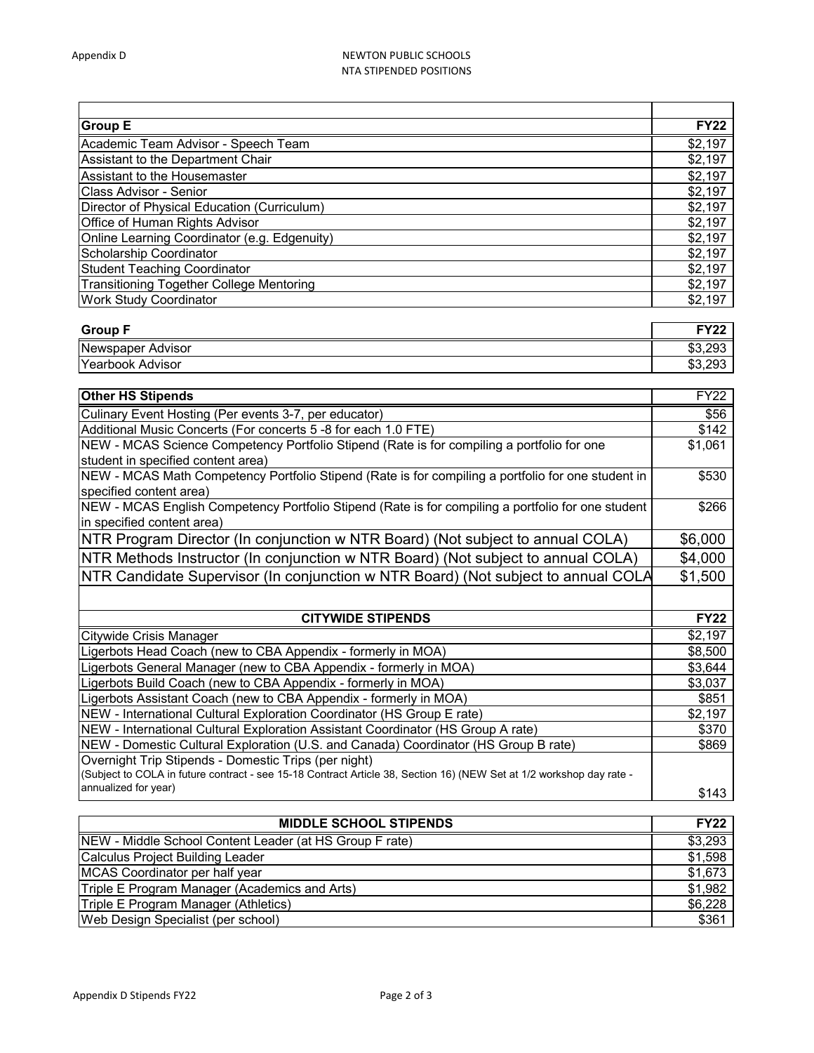## Appendix D NEWTON PUBLIC SCHOOLS NTA STIPENDED POSITIONS

| <b>Group E</b>                                  | <b>FY22</b> |
|-------------------------------------------------|-------------|
| Academic Team Advisor - Speech Team             | \$2,197     |
| Assistant to the Department Chair               | \$2,197     |
| Assistant to the Housemaster                    | \$2,197     |
| Class Advisor - Senior                          | \$2,197     |
| Director of Physical Education (Curriculum)     | \$2,197     |
| Office of Human Rights Advisor                  | \$2,197     |
| Online Learning Coordinator (e.g. Edgenuity)    | \$2,197     |
| Scholarship Coordinator                         | \$2,197     |
| <b>Student Teaching Coordinator</b>             | \$2,197     |
| <b>Transitioning Together College Mentoring</b> | \$2,197     |
| <b>Work Study Coordinator</b>                   | \$2,197     |

| <b>Group F</b>           | <b>EVOO</b> |
|--------------------------|-------------|
| Newspaper Advisor        | \$3,293     |
| <b>TYearbook Advisor</b> | \$3,293     |

| <b>Other HS Stipends</b>                                                                                             | FY22        |
|----------------------------------------------------------------------------------------------------------------------|-------------|
| Culinary Event Hosting (Per events 3-7, per educator)                                                                | \$56        |
| Additional Music Concerts (For concerts 5 -8 for each 1.0 FTE)                                                       | \$142       |
| NEW - MCAS Science Competency Portfolio Stipend (Rate is for compiling a portfolio for one                           | \$1,061     |
| student in specified content area)                                                                                   |             |
| NEW - MCAS Math Competency Portfolio Stipend (Rate is for compiling a portfolio for one student in                   | \$530       |
| specified content area)                                                                                              |             |
| NEW - MCAS English Competency Portfolio Stipend (Rate is for compiling a portfolio for one student                   | \$266       |
| in specified content area)                                                                                           |             |
| NTR Program Director (In conjunction w NTR Board) (Not subject to annual COLA)                                       | \$6,000     |
| NTR Methods Instructor (In conjunction w NTR Board) (Not subject to annual COLA)                                     | \$4,000     |
| NTR Candidate Supervisor (In conjunction w NTR Board) (Not subject to annual COLA                                    | \$1,500     |
|                                                                                                                      |             |
| <b>CITYWIDE STIPENDS</b>                                                                                             | <b>FY22</b> |
| Citywide Crisis Manager                                                                                              | \$2,197     |
| Ligerbots Head Coach (new to CBA Appendix - formerly in MOA)                                                         | \$8,500     |
| Ligerbots General Manager (new to CBA Appendix - formerly in MOA)                                                    | \$3,644     |
| Ligerbots Build Coach (new to CBA Appendix - formerly in MOA)                                                        | \$3,037     |
| Ligerbots Assistant Coach (new to CBA Appendix - formerly in MOA)                                                    | \$851       |
| NEW - International Cultural Exploration Coordinator (HS Group E rate)                                               | \$2,197     |
| NEW - International Cultural Exploration Assistant Coordinator (HS Group A rate)                                     | \$370       |
| NEW - Domestic Cultural Exploration (U.S. and Canada) Coordinator (HS Group B rate)                                  | \$869       |
| Overnight Trip Stipends - Domestic Trips (per night)                                                                 |             |
| (Subject to COLA in future contract - see 15-18 Contract Article 38, Section 16) (NEW Set at 1/2 workshop day rate - |             |
| annualized for year)                                                                                                 | \$143       |

| <b>MIDDLE SCHOOL STIPENDS</b>                           | <b>FY22</b> |
|---------------------------------------------------------|-------------|
| NEW - Middle School Content Leader (at HS Group F rate) | \$3,293     |
| Calculus Project Building Leader                        | \$1,598     |
| MCAS Coordinator per half year                          | \$1,673     |
| Triple E Program Manager (Academics and Arts)           | \$1,982     |
| Triple E Program Manager (Athletics)                    | \$6,228     |
| Web Design Specialist (per school)                      | \$361       |